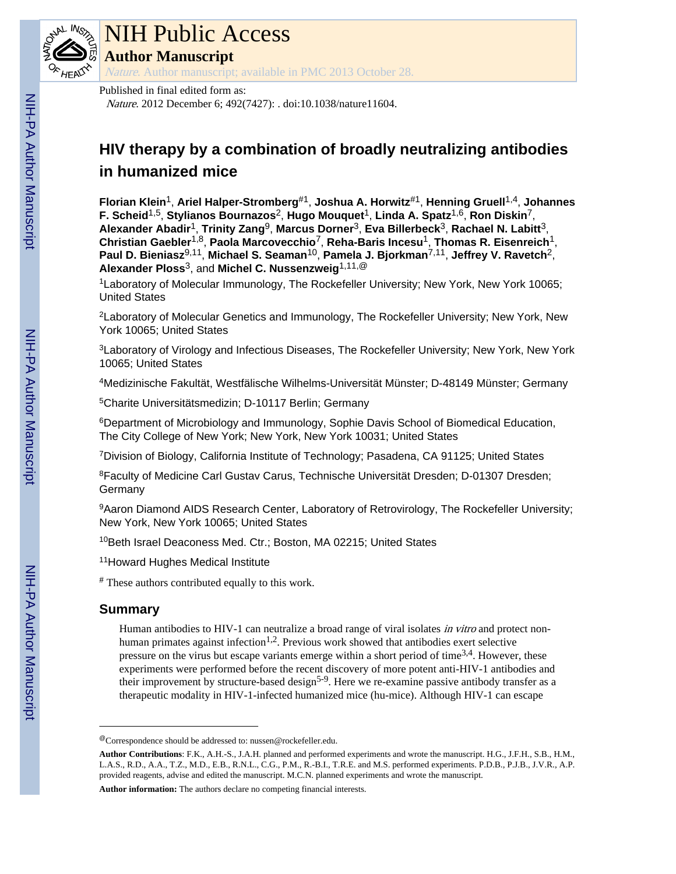

# NIH Public Access

**Author Manuscript**

Nature. Author manuscript; available in PMC 2013 October 28.

# Published in final edited form as:

Nature. 2012 December 6; 492(7427): . doi:10.1038/nature11604.

# **HIV therapy by a combination of broadly neutralizing antibodies in humanized mice**

**Florian Klein**1, **Ariel Halper-Stromberg**#1, **Joshua A. Horwitz**#1, **Henning Gruell**1,4, **Johannes F. Scheid**1,5, **Stylianos Bournazos**2, **Hugo Mouquet**1, **Linda A. Spatz**1,6, **Ron Diskin**7, **Alexander Abadir**1, **Trinity Zang**9, **Marcus Dorner**3, **Eva Billerbeck**3, **Rachael N. Labitt**3, **Christian Gaebler**1,8, **Paola Marcovecchio**7, **Reha-Baris Incesu**1, **Thomas R. Eisenreich**1, **Paul D. Bieniasz**9,11, **Michael S. Seaman**10, **Pamela J. Bjorkman**7,11, **Jeffrey V. Ravetch**2, **Alexander Ploss**3, and **Michel C. Nussenzweig**1,11,@

<sup>1</sup>Laboratory of Molecular Immunology, The Rockefeller University; New York, New York 10065; United States

<sup>2</sup>Laboratory of Molecular Genetics and Immunology, The Rockefeller University; New York, New York 10065; United States

<sup>3</sup>Laboratory of Virology and Infectious Diseases, The Rockefeller University; New York, New York 10065; United States

<sup>4</sup>Medizinische Fakultät, Westfälische Wilhelms-Universität Münster; D-48149 Münster; Germany

<sup>5</sup>Charite Universitätsmedizin; D-10117 Berlin; Germany

<sup>6</sup>Department of Microbiology and Immunology, Sophie Davis School of Biomedical Education, The City College of New York; New York, New York 10031; United States

<sup>7</sup>Division of Biology, California Institute of Technology; Pasadena, CA 91125; United States

<sup>8</sup>Faculty of Medicine Carl Gustav Carus, Technische Universität Dresden; D-01307 Dresden; **Germany** 

9Aaron Diamond AIDS Research Center, Laboratory of Retrovirology, The Rockefeller University; New York, New York 10065; United States

10Beth Israel Deaconess Med. Ctr.; Boston, MA 02215; United States

<sup>11</sup>Howard Hughes Medical Institute

# These authors contributed equally to this work.

# **Summary**

Human antibodies to HIV-1 can neutralize a broad range of viral isolates *in vitro* and protect nonhuman primates against infection<sup>1,2</sup>. Previous work showed that antibodies exert selective pressure on the virus but escape variants emerge within a short period of time<sup>3,4</sup>. However, these experiments were performed before the recent discovery of more potent anti-HIV-1 antibodies and their improvement by structure-based design<sup>5-9</sup>. Here we re-examine passive antibody transfer as a therapeutic modality in HIV-1-infected humanized mice (hu-mice). Although HIV-1 can escape

**Author information:** The authors declare no competing financial interests.

<sup>@</sup>Correspondence should be addressed to: nussen@rockefeller.edu.

**Author Contributions**: F.K., A.H.-S., J.A.H. planned and performed experiments and wrote the manuscript. H.G., J.F.H., S.B., H.M., L.A.S., R.D., A.A., T.Z., M.D., E.B., R.N.L., C.G., P.M., R.-B.I., T.R.E. and M.S. performed experiments. P.D.B., P.J.B., J.V.R., A.P. provided reagents, advise and edited the manuscript. M.C.N. planned experiments and wrote the manuscript.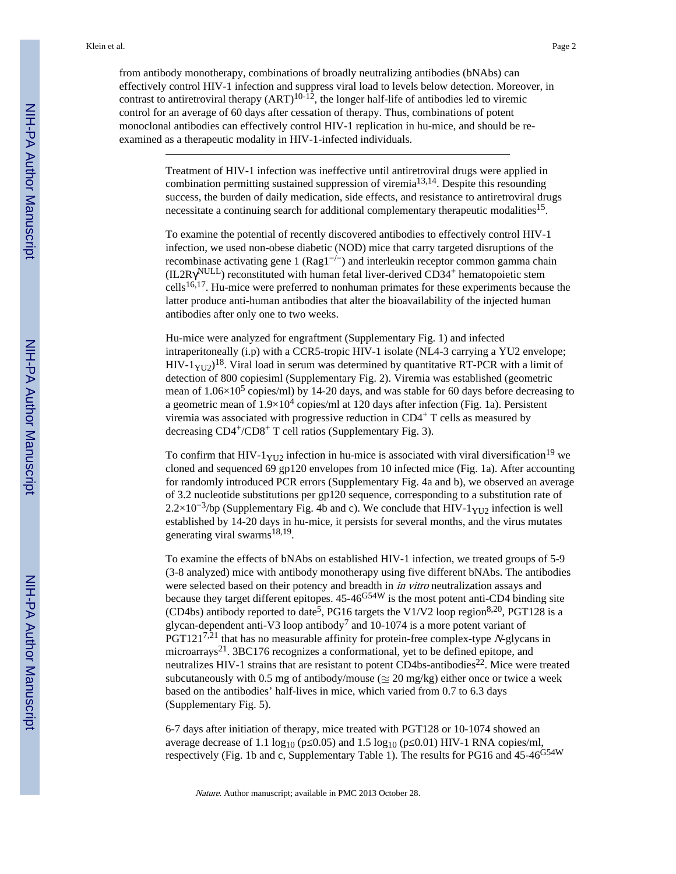from antibody monotherapy, combinations of broadly neutralizing antibodies (bNAbs) can effectively control HIV-1 infection and suppress viral load to levels below detection. Moreover, in contrast to antiretroviral therapy  $(ART)^{10-12}$ , the longer half-life of antibodies led to viremic control for an average of 60 days after cessation of therapy. Thus, combinations of potent monoclonal antibodies can effectively control HIV-1 replication in hu-mice, and should be reexamined as a therapeutic modality in HIV-1-infected individuals.

> Treatment of HIV-1 infection was ineffective until antiretroviral drugs were applied in combination permitting sustained suppression of viremia<sup>13,14</sup>. Despite this resounding success, the burden of daily medication, side effects, and resistance to antiretroviral drugs necessitate a continuing search for additional complementary therapeutic modalities<sup>15</sup>.

To examine the potential of recently discovered antibodies to effectively control HIV-1 infection, we used non-obese diabetic (NOD) mice that carry targeted disruptions of the recombinase activating gene 1 (Rag1−/−) and interleukin receptor common gamma chain (IL2R NULL) reconstituted with human fetal liver-derived CD34+ hematopoietic stem  $\text{cells}^{16,17}$ . Hu-mice were preferred to nonhuman primates for these experiments because the latter produce anti-human antibodies that alter the bioavailability of the injected human antibodies after only one to two weeks.

Hu-mice were analyzed for engraftment (Supplementary Fig. 1) and infected intraperitoneally (i.p) with a CCR5-tropic HIV-1 isolate (NL4-3 carrying a YU2 envelope; HIV-1 $_{\text{YU2}}$ )<sup>18</sup>. Viral load in serum was determined by quantitative RT-PCR with a limit of detection of 800 copiesiml (Supplementary Fig. 2). Viremia was established (geometric mean of 1.06×10<sup>5</sup> copies/ml) by 14-20 days, and was stable for 60 days before decreasing to a geometric mean of  $1.9\times10^4$  copies/ml at 120 days after infection (Fig. 1a). Persistent viremia was associated with progressive reduction in CD4+ T cells as measured by decreasing CD4+/CD8+ T cell ratios (Supplementary Fig. 3).

To confirm that HIV-1 $_{\text{YU2}}$  infection in hu-mice is associated with viral diversification<sup>19</sup> we cloned and sequenced 69 gp120 envelopes from 10 infected mice (Fig. 1a). After accounting for randomly introduced PCR errors (Supplementary Fig. 4a and b), we observed an average of 3.2 nucleotide substitutions per gp120 sequence, corresponding to a substitution rate of 2.2×10<sup>-3</sup>/bp (Supplementary Fig. 4b and c). We conclude that HIV-1<sub>YU2</sub> infection is well established by 14-20 days in hu-mice, it persists for several months, and the virus mutates generating viral swarms<sup>18,19</sup>.

To examine the effects of bNAbs on established HIV-1 infection, we treated groups of 5-9 (3-8 analyzed) mice with antibody monotherapy using five different bNAbs. The antibodies were selected based on their potency and breadth in *in vitro* neutralization assays and because they target different epitopes.  $45-46^{G54W}$  is the most potent anti-CD4 binding site (CD4bs) antibody reported to date<sup>5</sup>, PG16 targets the V1/V2 loop region<sup>8,20</sup>, PGT128 is a glycan-dependent anti-V3 loop antibody<sup>7</sup> and 10-1074 is a more potent variant of  $PGT121^{7,21}$  that has no measurable affinity for protein-free complex-type N-glycans in microarrays<sup>21</sup>. 3BC176 recognizes a conformational, yet to be defined epitope, and neutralizes HIV-1 strains that are resistant to potent CD4bs-antibodies<sup>22</sup>. Mice were treated subcutaneously with 0.5 mg of antibody/mouse ( $\approx$  20 mg/kg) either once or twice a week based on the antibodies' half-lives in mice, which varied from 0.7 to 6.3 days (Supplementary Fig. 5).

6-7 days after initiation of therapy, mice treated with PGT128 or 10-1074 showed an average decrease of 1.1  $log_{10}$  (p=0.05) and 1.5  $log_{10}$  (p=0.01) HIV-1 RNA copies/ml, respectively (Fig. 1b and c, Supplementary Table 1). The results for PG16 and 45-46G54W

Nature. Author manuscript; available in PMC 2013 October 28.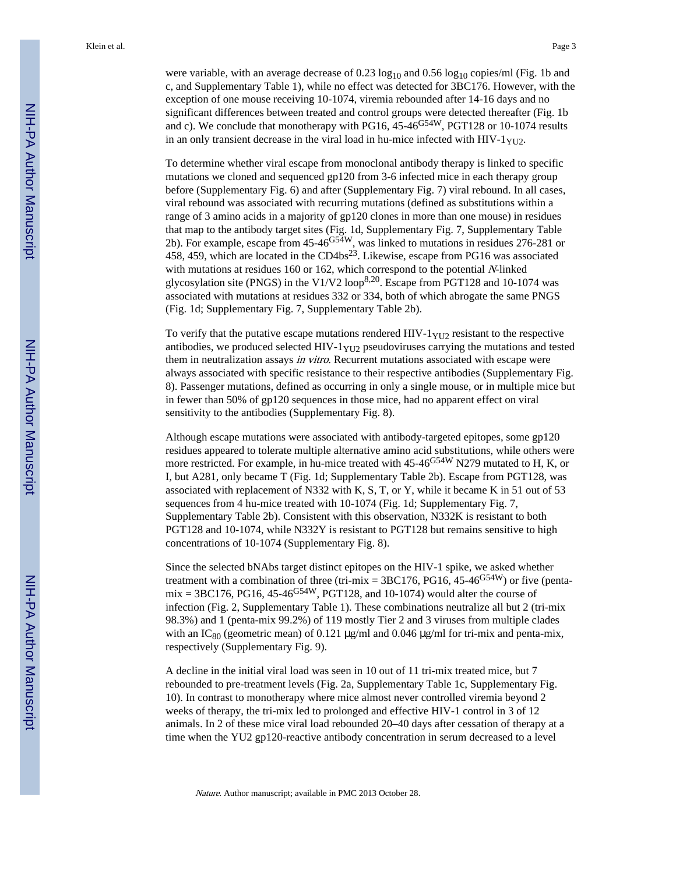were variable, with an average decrease of  $0.23 \log_{10}$  and  $0.56 \log_{10}$  copies/ml (Fig. 1b and c, and Supplementary Table 1), while no effect was detected for 3BC176. However, with the exception of one mouse receiving 10-1074, viremia rebounded after 14-16 days and no significant differences between treated and control groups were detected thereafter (Fig. 1b and c). We conclude that monotherapy with PG16, 45-46<sup>G54W</sup>, PGT128 or 10-1074 results in an only transient decrease in the viral load in hu-mice infected with  $HIV-1<sub>YU2</sub>$ .

To determine whether viral escape from monoclonal antibody therapy is linked to specific mutations we cloned and sequenced gp120 from 3-6 infected mice in each therapy group before (Supplementary Fig. 6) and after (Supplementary Fig. 7) viral rebound. In all cases, viral rebound was associated with recurring mutations (defined as substitutions within a range of 3 amino acids in a majority of gp120 clones in more than one mouse) in residues that map to the antibody target sites (Fig. 1d, Supplementary Fig. 7, Supplementary Table 2b). For example, escape from 45-46<sup>G54W</sup>, was linked to mutations in residues 276-281 or 458, 459, which are located in the CD4bs23. Likewise, escape from PG16 was associated with mutations at residues 160 or 162, which correspond to the potential N-linked glycosylation site (PNGS) in the V1/V2 loop<sup>8,20</sup>. Escape from PGT128 and 10-1074 was associated with mutations at residues 332 or 334, both of which abrogate the same PNGS (Fig. 1d; Supplementary Fig. 7, Supplementary Table 2b).

To verify that the putative escape mutations rendered HIV- $1_{\text{YU2}}$  resistant to the respective antibodies, we produced selected HIV- $1_{YU2}$  pseudoviruses carrying the mutations and tested them in neutralization assays in vitro. Recurrent mutations associated with escape were always associated with specific resistance to their respective antibodies (Supplementary Fig. 8). Passenger mutations, defined as occurring in only a single mouse, or in multiple mice but in fewer than 50% of gp120 sequences in those mice, had no apparent effect on viral sensitivity to the antibodies (Supplementary Fig. 8).

Although escape mutations were associated with antibody-targeted epitopes, some gp120 residues appeared to tolerate multiple alternative amino acid substitutions, while others were more restricted. For example, in hu-mice treated with 45-46<sup>G54W</sup> N279 mutated to H, K, or I, but A281, only became T (Fig. 1d; Supplementary Table 2b). Escape from PGT128, was associated with replacement of N332 with K, S, T, or Y, while it became K in 51 out of 53 sequences from 4 hu-mice treated with 10-1074 (Fig. 1d; Supplementary Fig. 7, Supplementary Table 2b). Consistent with this observation, N332K is resistant to both PGT128 and 10-1074, while N332Y is resistant to PGT128 but remains sensitive to high concentrations of 10-1074 (Supplementary Fig. 8).

Since the selected bNAbs target distinct epitopes on the HIV-1 spike, we asked whether treatment with a combination of three (tri-mix =  $3BC176$ , PG16, 45-46<sup>G54W</sup>) or five (penta $mix = 3BC176$ , PG16, 45-46<sup>G54W</sup>, PGT128, and 10-1074) would alter the course of infection (Fig. 2, Supplementary Table 1). These combinations neutralize all but 2 (tri-mix 98.3%) and 1 (penta-mix 99.2%) of 119 mostly Tier 2 and 3 viruses from multiple clades with an  $IC_{80}$  (geometric mean) of 0.121 μg/ml and 0.046 μg/ml for tri-mix and penta-mix, respectively (Supplementary Fig. 9).

A decline in the initial viral load was seen in 10 out of 11 tri-mix treated mice, but 7 rebounded to pre-treatment levels (Fig. 2a, Supplementary Table 1c, Supplementary Fig. 10). In contrast to monotherapy where mice almost never controlled viremia beyond 2 weeks of therapy, the tri-mix led to prolonged and effective HIV-1 control in 3 of 12 animals. In 2 of these mice viral load rebounded 20–40 days after cessation of therapy at a time when the YU2 gp120-reactive antibody concentration in serum decreased to a level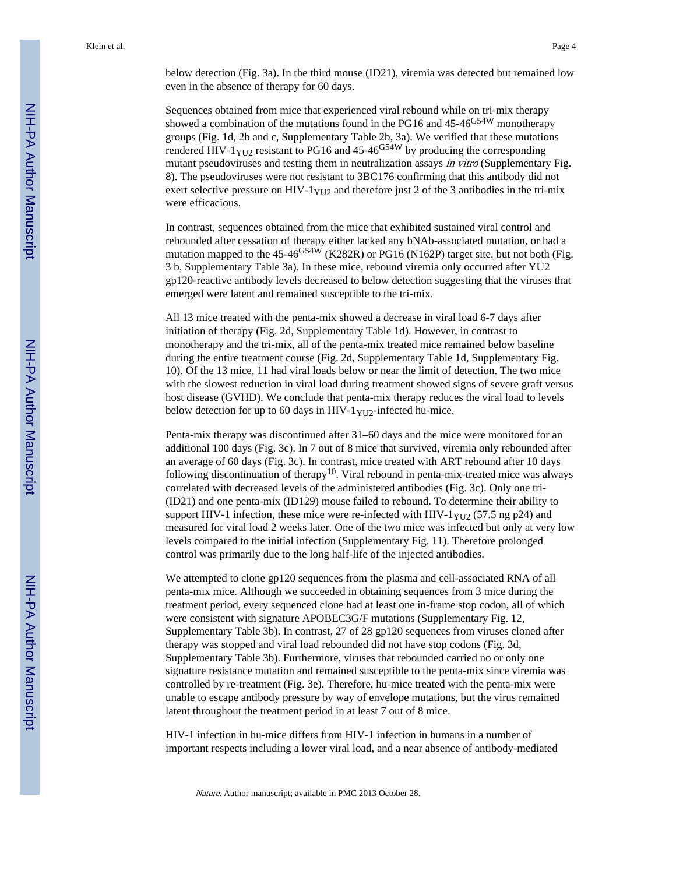below detection (Fig. 3a). In the third mouse (ID21), viremia was detected but remained low even in the absence of therapy for 60 days.

Sequences obtained from mice that experienced viral rebound while on tri-mix therapy showed a combination of the mutations found in the PG16 and  $45-46<sup>G54W</sup>$  monotherapy groups (Fig. 1d, 2b and c, Supplementary Table 2b, 3a). We verified that these mutations rendered HIV-1 $_{\text{YU2}}$  resistant to PG16 and 45-46<sup>G54W</sup> by producing the corresponding mutant pseudoviruses and testing them in neutralization assays in vitro (Supplementary Fig. 8). The pseudoviruses were not resistant to 3BC176 confirming that this antibody did not exert selective pressure on HIV-1 $_{\text{YU2}}$  and therefore just 2 of the 3 antibodies in the tri-mix were efficacious.

In contrast, sequences obtained from the mice that exhibited sustained viral control and rebounded after cessation of therapy either lacked any bNAb-associated mutation, or had a mutation mapped to the  $45-46^{G54W}$  (K282R) or PG16 (N162P) target site, but not both (Fig. 3 b, Supplementary Table 3a). In these mice, rebound viremia only occurred after YU2 gp120-reactive antibody levels decreased to below detection suggesting that the viruses that emerged were latent and remained susceptible to the tri-mix.

All 13 mice treated with the penta-mix showed a decrease in viral load 6-7 days after initiation of therapy (Fig. 2d, Supplementary Table 1d). However, in contrast to monotherapy and the tri-mix, all of the penta-mix treated mice remained below baseline during the entire treatment course (Fig. 2d, Supplementary Table 1d, Supplementary Fig. 10). Of the 13 mice, 11 had viral loads below or near the limit of detection. The two mice with the slowest reduction in viral load during treatment showed signs of severe graft versus host disease (GVHD). We conclude that penta-mix therapy reduces the viral load to levels below detection for up to 60 days in HIV-1 $_{\text{YU2}}$ -infected hu-mice.

Penta-mix therapy was discontinued after 31–60 days and the mice were monitored for an additional 100 days (Fig. 3c). In 7 out of 8 mice that survived, viremia only rebounded after an average of 60 days (Fig. 3c). In contrast, mice treated with ART rebound after 10 days following discontinuation of therapy<sup>10</sup>. Viral rebound in penta-mix-treated mice was always correlated with decreased levels of the administered antibodies (Fig. 3c). Only one tri- (ID21) and one penta-mix (ID129) mouse failed to rebound. To determine their ability to support HIV-1 infection, these mice were re-infected with HIV- $1_{YU2}$  (57.5 ng p24) and measured for viral load 2 weeks later. One of the two mice was infected but only at very low levels compared to the initial infection (Supplementary Fig. 11). Therefore prolonged control was primarily due to the long half-life of the injected antibodies.

We attempted to clone gp120 sequences from the plasma and cell-associated RNA of all penta-mix mice. Although we succeeded in obtaining sequences from 3 mice during the treatment period, every sequenced clone had at least one in-frame stop codon, all of which were consistent with signature APOBEC3G/F mutations (Supplementary Fig. 12, Supplementary Table 3b). In contrast, 27 of 28 gp120 sequences from viruses cloned after therapy was stopped and viral load rebounded did not have stop codons (Fig. 3d, Supplementary Table 3b). Furthermore, viruses that rebounded carried no or only one signature resistance mutation and remained susceptible to the penta-mix since viremia was controlled by re-treatment (Fig. 3e). Therefore, hu-mice treated with the penta-mix were unable to escape antibody pressure by way of envelope mutations, but the virus remained latent throughout the treatment period in at least 7 out of 8 mice.

HIV-1 infection in hu-mice differs from HIV-1 infection in humans in a number of important respects including a lower viral load, and a near absence of antibody-mediated

Nature. Author manuscript; available in PMC 2013 October 28.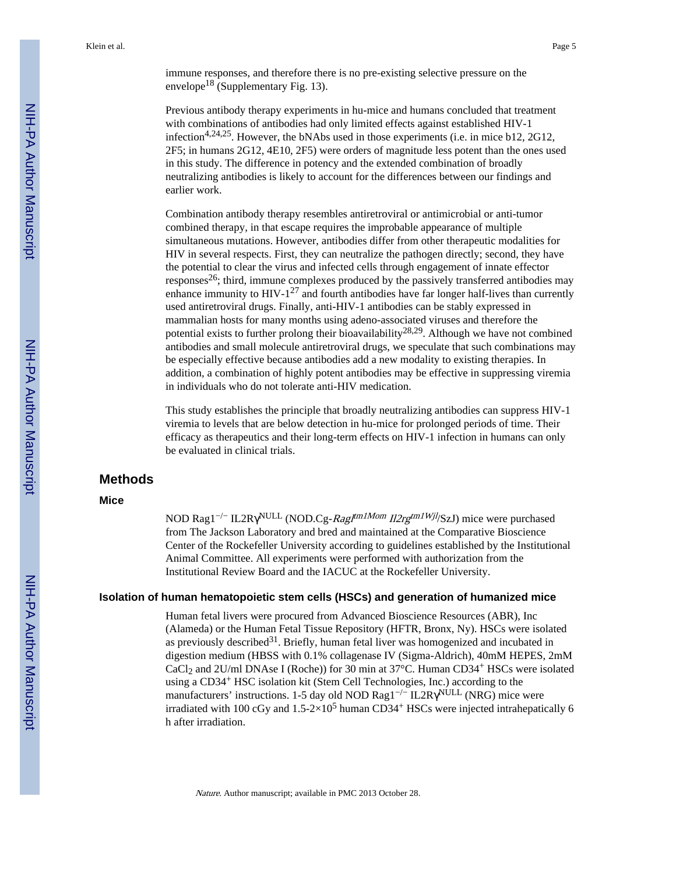immune responses, and therefore there is no pre-existing selective pressure on the envelope<sup>18</sup> (Supplementary Fig. 13).

Previous antibody therapy experiments in hu-mice and humans concluded that treatment with combinations of antibodies had only limited effects against established HIV-1 infection<sup>4,24,25</sup>. However, the bNAbs used in those experiments (i.e. in mice b12, 2G12, 2F5; in humans 2G12, 4E10, 2F5) were orders of magnitude less potent than the ones used in this study. The difference in potency and the extended combination of broadly neutralizing antibodies is likely to account for the differences between our findings and earlier work.

Combination antibody therapy resembles antiretroviral or antimicrobial or anti-tumor combined therapy, in that escape requires the improbable appearance of multiple simultaneous mutations. However, antibodies differ from other therapeutic modalities for HIV in several respects. First, they can neutralize the pathogen directly; second, they have the potential to clear the virus and infected cells through engagement of innate effector responses<sup>26</sup>; third, immune complexes produced by the passively transferred antibodies may enhance immunity to  $HIV-1<sup>27</sup>$  and fourth antibodies have far longer half-lives than currently used antiretroviral drugs. Finally, anti-HIV-1 antibodies can be stably expressed in mammalian hosts for many months using adeno-associated viruses and therefore the potential exists to further prolong their bioavailability<sup>28,29</sup>. Although we have not combined antibodies and small molecule antiretroviral drugs, we speculate that such combinations may be especially effective because antibodies add a new modality to existing therapies. In addition, a combination of highly potent antibodies may be effective in suppressing viremia in individuals who do not tolerate anti-HIV medication.

This study establishes the principle that broadly neutralizing antibodies can suppress HIV-1 viremia to levels that are below detection in hu-mice for prolonged periods of time. Their efficacy as therapeutics and their long-term effects on HIV-1 infection in humans can only be evaluated in clinical trials.

## **Methods**

#### **Mice**

NOD Rag1<sup>-/−</sup> IL2R <sup>NULL</sup> (NOD.Cg-*Rag|<sup>tm1Mom</sup> Il2rg<sup>tm1Wjl</sup>*/SzJ) mice were purchased from The Jackson Laboratory and bred and maintained at the Comparative Bioscience Center of the Rockefeller University according to guidelines established by the Institutional Animal Committee. All experiments were performed with authorization from the Institutional Review Board and the IACUC at the Rockefeller University.

#### **Isolation of human hematopoietic stem cells (HSCs) and generation of humanized mice**

Human fetal livers were procured from Advanced Bioscience Resources (ABR), Inc (Alameda) or the Human Fetal Tissue Repository (HFTR, Bronx, Ny). HSCs were isolated as previously described<sup>31</sup>. Briefly, human fetal liver was homogenized and incubated in digestion medium (HBSS with 0.1% collagenase IV (Sigma-Aldrich), 40mM HEPES, 2mM CaCl<sub>2</sub> and 2U/ml DNAse I (Roche)) for 30 min at  $37^{\circ}$ C. Human CD34<sup>+</sup> HSCs were isolated using a CD34+ HSC isolation kit (Stem Cell Technologies, Inc.) according to the manufacturers' instructions. 1-5 day old NOD Rag1<sup>-/−</sup> IL2R <sup>NULL</sup> (NRG) mice were irradiated with 100 cGy and  $1.5{\text -}2{\times}10^5$  human CD34<sup>+</sup> HSCs were injected intrahepatically 6 h after irradiation.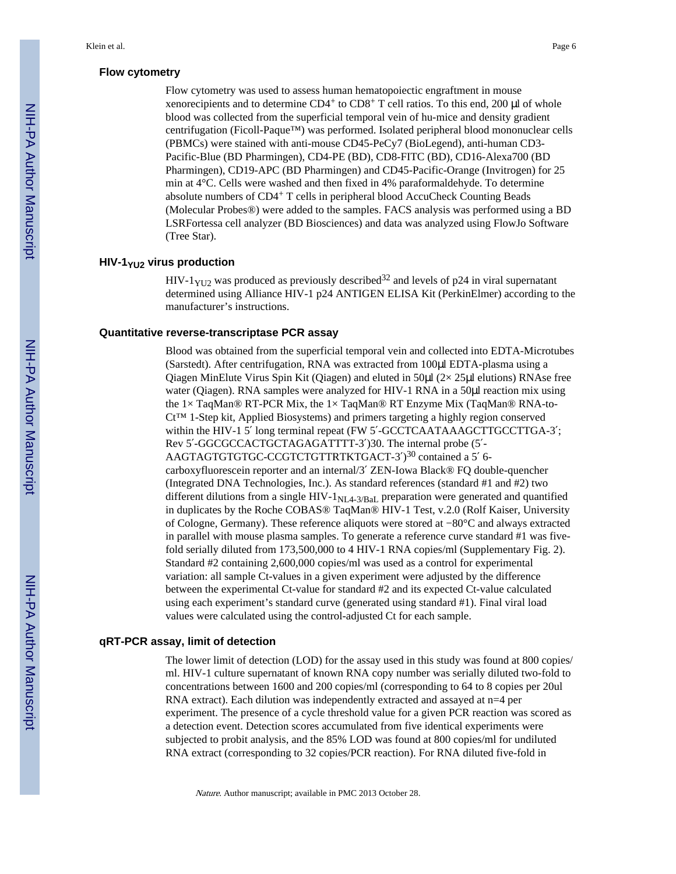#### **Flow cytometry**

Flow cytometry was used to assess human hematopoiectic engraftment in mouse xenorecipients and to determine CD4+ to CD8+ T cell ratios. To this end, 200 μl of whole blood was collected from the superficial temporal vein of hu-mice and density gradient centrifugation (Ficoll-Paque™) was performed. Isolated peripheral blood mononuclear cells (PBMCs) were stained with anti-mouse CD45-PeCy7 (BioLegend), anti-human CD3- Pacific-Blue (BD Pharmingen), CD4-PE (BD), CD8-FITC (BD), CD16-Alexa700 (BD Pharmingen), CD19-APC (BD Pharmingen) and CD45-Pacific-Orange (Invitrogen) for 25 min at 4°C. Cells were washed and then fixed in 4% paraformaldehyde. To determine absolute numbers of CD4+ T cells in peripheral blood AccuCheck Counting Beads (Molecular Probes®) were added to the samples. FACS analysis was performed using a BD LSRFortessa cell analyzer (BD Biosciences) and data was analyzed using FlowJo Software (Tree Star).

#### **HIV-1YU2 virus production**

HIV-1 $_{\text{YU2}}$  was produced as previously described<sup>32</sup> and levels of p24 in viral supernatant determined using Alliance HIV-1 p24 ANTIGEN ELISA Kit (PerkinElmer) according to the manufacturer's instructions.

#### **Quantitative reverse-transcriptase PCR assay**

Blood was obtained from the superficial temporal vein and collected into EDTA-Microtubes (Sarstedt). After centrifugation, RNA was extracted from 100μl EDTA-plasma using a Qiagen MinElute Virus Spin Kit (Qiagen) and eluted in  $50\mu$  ( $2 \times 25\mu$  elutions) RNAse free water (Qiagen). RNA samples were analyzed for HIV-1 RNA in a 50 $\mu$ l reaction mix using the  $1 \times$  TaqMan® RT-PCR Mix, the  $1 \times$  TaqMan® RT Enzyme Mix (TaqMan® RNA-to-Ct™ 1-Step kit, Applied Biosystems) and primers targeting a highly region conserved within the HIV-1 5 long terminal repeat (FW 5 -GCCTCAATAAAGCTTGCCTTGA-3; Rev 5 -GGCGCCACTGCTAGAGATTTT-3 )30. The internal probe (5 - AAGTAGTGTGTGC-CCGTCTGTTRTKTGACT-3)<sup>30</sup> contained a 5 6carboxyfluorescein reporter and an internal/3 ZEN-Iowa Black® FQ double-quencher (Integrated DNA Technologies, Inc.). As standard references (standard #1 and #2) two different dilutions from a single HIV- $1_{\text{NL4-3/BaL}}$  preparation were generated and quantified in duplicates by the Roche COBAS® TaqMan® HIV-1 Test, v.2.0 (Rolf Kaiser, University of Cologne, Germany). These reference aliquots were stored at −80°C and always extracted in parallel with mouse plasma samples. To generate a reference curve standard #1 was fivefold serially diluted from 173,500,000 to 4 HIV-1 RNA copies/ml (Supplementary Fig. 2). Standard #2 containing 2,600,000 copies/ml was used as a control for experimental variation: all sample Ct-values in a given experiment were adjusted by the difference between the experimental Ct-value for standard #2 and its expected Ct-value calculated using each experiment's standard curve (generated using standard #1). Final viral load values were calculated using the control-adjusted Ct for each sample.

#### **qRT-PCR assay, limit of detection**

The lower limit of detection (LOD) for the assay used in this study was found at 800 copies/ ml. HIV-1 culture supernatant of known RNA copy number was serially diluted two-fold to concentrations between 1600 and 200 copies/ml (corresponding to 64 to 8 copies per 20ul RNA extract). Each dilution was independently extracted and assayed at n=4 per experiment. The presence of a cycle threshold value for a given PCR reaction was scored as a detection event. Detection scores accumulated from five identical experiments were subjected to probit analysis, and the 85% LOD was found at 800 copies/ml for undiluted RNA extract (corresponding to 32 copies/PCR reaction). For RNA diluted five-fold in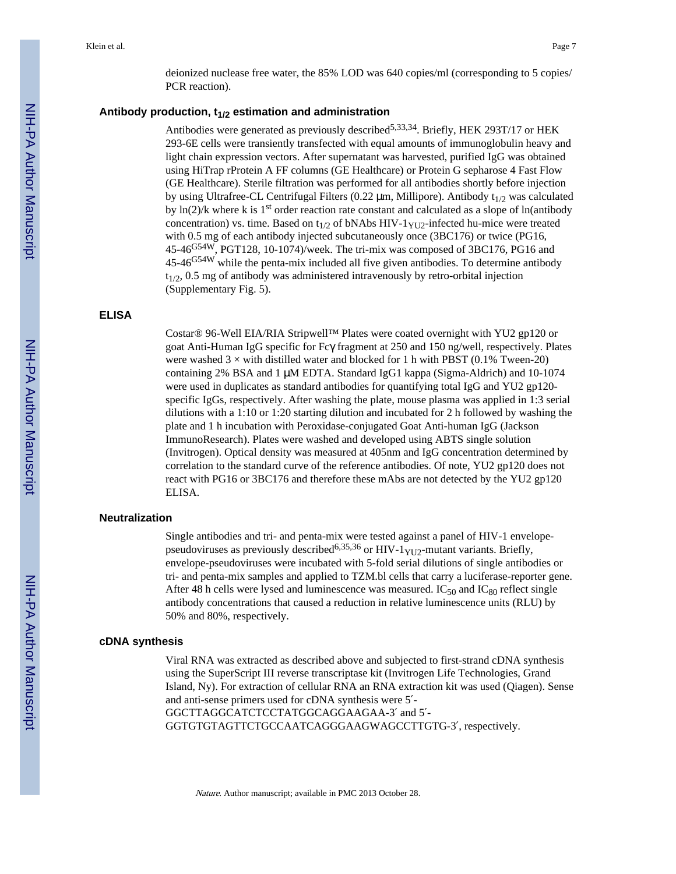deionized nuclease free water, the 85% LOD was 640 copies/ml (corresponding to 5 copies/ PCR reaction).

#### **Antibody production, t1/2 estimation and administration**

Antibodies were generated as previously described<sup>5,33,34</sup>. Briefly, HEK 293T/17 or HEK 293-6E cells were transiently transfected with equal amounts of immunoglobulin heavy and light chain expression vectors. After supernatant was harvested, purified IgG was obtained using HiTrap rProtein A FF columns (GE Healthcare) or Protein G sepharose 4 Fast Flow (GE Healthcare). Sterile filtration was performed for all antibodies shortly before injection by using Ultrafree-CL Centrifugal Filters (0.22  $\mu$ m, Millipore). Antibody t<sub>1/2</sub> was calculated by  $\ln(2)/k$  where k is 1<sup>st</sup> order reaction rate constant and calculated as a slope of ln(antibody concentration) vs. time. Based on  $t_{1/2}$  of bNAbs HIV-1<sub>YU2</sub>-infected hu-mice were treated with 0.5 mg of each antibody injected subcutaneously once (3BC176) or twice (PG16, 45-46G54W, PGT128, 10-1074)/week. The tri-mix was composed of 3BC176, PG16 and 45-46<sup>G54W</sup> while the penta-mix included all five given antibodies. To determine antibody  $t_{1/2}$ , 0.5 mg of antibody was administered intravenously by retro-orbital injection (Supplementary Fig. 5).

#### **ELISA**

Costar® 96-Well EIA/RIA Stripwell™ Plates were coated overnight with YU2 gp120 or goat Anti-Human IgG specific for Fc fragment at 250 and 150 ng/well, respectively. Plates were washed  $3 \times$  with distilled water and blocked for 1 h with PBST (0.1% Tween-20) containing 2% BSA and 1 μM EDTA. Standard IgG1 kappa (Sigma-Aldrich) and 10-1074 were used in duplicates as standard antibodies for quantifying total IgG and YU2 gp120 specific IgGs, respectively. After washing the plate, mouse plasma was applied in 1:3 serial dilutions with a 1:10 or 1:20 starting dilution and incubated for 2 h followed by washing the plate and 1 h incubation with Peroxidase-conjugated Goat Anti-human IgG (Jackson ImmunoResearch). Plates were washed and developed using ABTS single solution (Invitrogen). Optical density was measured at 405nm and IgG concentration determined by correlation to the standard curve of the reference antibodies. Of note, YU2 gp120 does not react with PG16 or 3BC176 and therefore these mAbs are not detected by the YU2 gp120 ELISA.

#### **Neutralization**

Single antibodies and tri- and penta-mix were tested against a panel of HIV-1 envelopepseudoviruses as previously described<sup>6,35,36</sup> or HIV-1<sub>YU2</sub>-mutant variants. Briefly, envelope-pseudoviruses were incubated with 5-fold serial dilutions of single antibodies or tri- and penta-mix samples and applied to TZM.bl cells that carry a luciferase-reporter gene. After 48 h cells were lysed and luminescence was measured. IC $_{50}$  and IC $_{80}$  reflect single antibody concentrations that caused a reduction in relative luminescence units (RLU) by 50% and 80%, respectively.

#### **cDNA synthesis**

Viral RNA was extracted as described above and subjected to first-strand cDNA synthesis using the SuperScript III reverse transcriptase kit (Invitrogen Life Technologies, Grand Island, Ny). For extraction of cellular RNA an RNA extraction kit was used (Qiagen). Sense and anti-sense primers used for cDNA synthesis were 5 -

GGCTTAGGCATCTCCTATGGCAGGAAGAA-3 and 5 - GGTGTGTAGTTCTGCCAATCAGGGAAGWAGCCTTGTG-3 , respectively.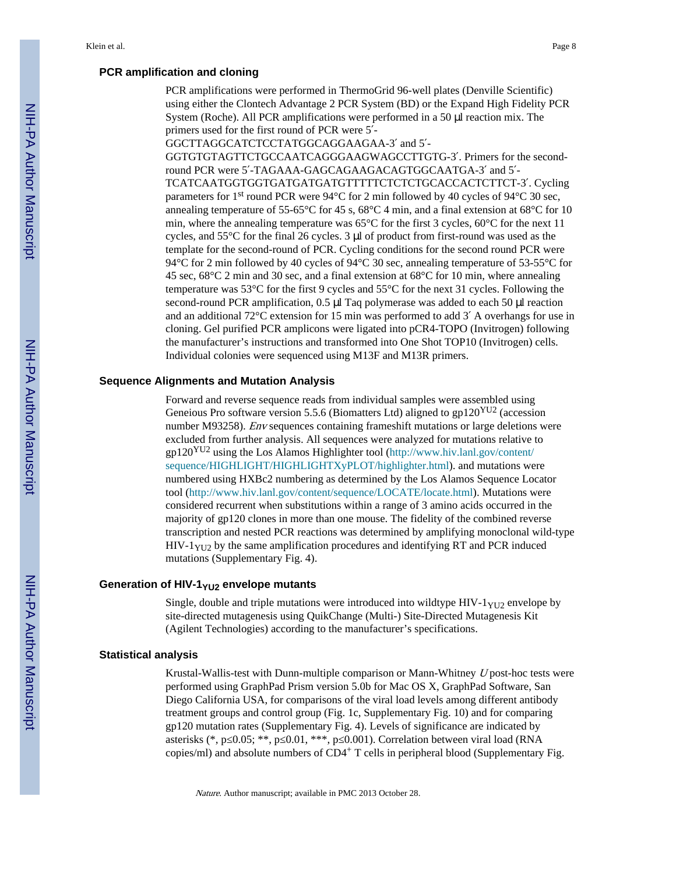#### **PCR amplification and cloning**

PCR amplifications were performed in ThermoGrid 96-well plates (Denville Scientific) using either the Clontech Advantage 2 PCR System (BD) or the Expand High Fidelity PCR System (Roche). All PCR amplifications were performed in a 50 μl reaction mix. The primers used for the first round of PCR were 5 -

GGCTTAGGCATCTCCTATGGCAGGAAGAA-3 and 5 - GGTGTGTAGTTCTGCCAATCAGGGAAGWAGCCTTGTG-3 . Primers for the secondround PCR were 5 -TAGAAA-GAGCAGAAGACAGTGGCAATGA-3 and 5 - TCATCAATGGTGGTGATGATGATGTTTTTCTCTCTGCACCACTCTTCT-3 . Cycling parameters for 1<sup>st</sup> round PCR were 94°C for 2 min followed by 40 cycles of 94°C 30 sec, annealing temperature of 55-65°C for 45 s, 68°C 4 min, and a final extension at 68°C for 10 min, where the annealing temperature was 65°C for the first 3 cycles, 60°C for the next 11 cycles, and 55°C for the final 26 cycles. 3 μl of product from first-round was used as the template for the second-round of PCR. Cycling conditions for the second round PCR were 94°C for 2 min followed by 40 cycles of 94°C 30 sec, annealing temperature of 53-55°C for 45 sec, 68°C 2 min and 30 sec, and a final extension at 68°C for 10 min, where annealing temperature was 53°C for the first 9 cycles and 55°C for the next 31 cycles. Following the second-round PCR amplification, 0.5 μl Taq polymerase was added to each 50 μl reaction and an additional 72°C extension for 15 min was performed to add 3 A overhangs for use in cloning. Gel purified PCR amplicons were ligated into pCR4-TOPO (Invitrogen) following the manufacturer's instructions and transformed into One Shot TOP10 (Invitrogen) cells. Individual colonies were sequenced using M13F and M13R primers.

#### **Sequence Alignments and Mutation Analysis**

Forward and reverse sequence reads from individual samples were assembled using Geneious Pro software version 5.5.6 (Biomatters Ltd) aligned to  $gp120<sup>YU2</sup>$  (accession number M93258). Env sequences containing frameshift mutations or large deletions were excluded from further analysis. All sequences were analyzed for mutations relative to gp120YU2 using the Los Alamos Highlighter tool [\(http://www.hiv.lanl.gov/content/](http://www.hiv.lanl.gov/content/sequence/HIGHLIGHT/HIGHLIGHTXyPLOT/highlighter.html) [sequence/HIGHLIGHT/HIGHLIGHTXyPLOT/highlighter.html\)](http://www.hiv.lanl.gov/content/sequence/HIGHLIGHT/HIGHLIGHTXyPLOT/highlighter.html). and mutations were numbered using HXBc2 numbering as determined by the Los Alamos Sequence Locator tool [\(http://www.hiv.lanl.gov/content/sequence/LOCATE/locate.html\)](http://www.hiv.lanl.gov/content/sequence/LOCATE/locate.html). Mutations were considered recurrent when substitutions within a range of 3 amino acids occurred in the majority of gp120 clones in more than one mouse. The fidelity of the combined reverse transcription and nested PCR reactions was determined by amplifying monoclonal wild-type  $HIV-1<sub>YU2</sub>$  by the same amplification procedures and identifying RT and PCR induced mutations (Supplementary Fig. 4).

#### **Generation of HIV-1YU2 envelope mutants**

Single, double and triple mutations were introduced into wildtype  $HIV-1<sub>YU2</sub>$  envelope by site-directed mutagenesis using QuikChange (Multi-) Site-Directed Mutagenesis Kit (Agilent Technologies) according to the manufacturer's specifications.

#### **Statistical analysis**

Krustal-Wallis-test with Dunn-multiple comparison or Mann-Whitney U post-hoc tests were performed using GraphPad Prism version 5.0b for Mac OS X, GraphPad Software, San Diego California USA, for comparisons of the viral load levels among different antibody treatment groups and control group (Fig. 1c, Supplementary Fig. 10) and for comparing gp120 mutation rates (Supplementary Fig. 4). Levels of significance are indicated by asterisks (\*, p 0.05; \*\*, p 0.01, \*\*\*, p 0.001). Correlation between viral load (RNA copies/ml) and absolute numbers of CD4+ T cells in peripheral blood (Supplementary Fig.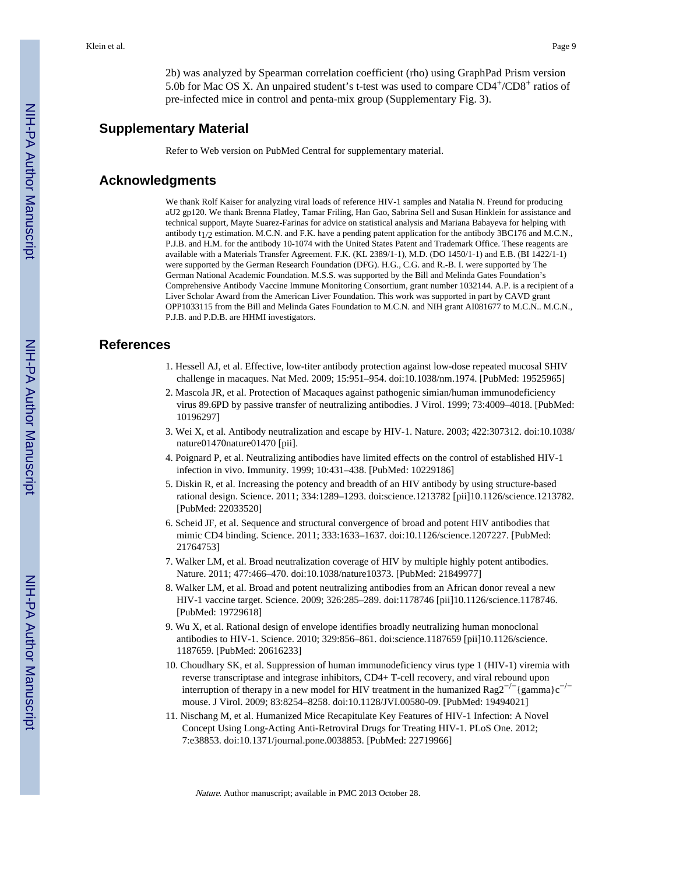2b) was analyzed by Spearman correlation coefficient (rho) using GraphPad Prism version 5.0b for Mac OS X. An unpaired student's t-test was used to compare CD4+/CD8+ ratios of pre-infected mice in control and penta-mix group (Supplementary Fig. 3).

#### **Supplementary Material**

Refer to Web version on PubMed Central for supplementary material.

#### **Acknowledgments**

We thank Rolf Kaiser for analyzing viral loads of reference HIV-1 samples and Natalia N. Freund for producing aU2 gp120. We thank Brenna Flatley, Tamar Friling, Han Gao, Sabrina Sell and Susan Hinklein for assistance and technical support, Mayte Suarez-Farinas for advice on statistical analysis and Mariana Babayeva for helping with antibody t1/2 estimation. M.C.N. and F.K. have a pending patent application for the antibody 3BC176 and M.C.N., P.J.B. and H.M. for the antibody 10-1074 with the United States Patent and Trademark Office. These reagents are available with a Materials Transfer Agreement. F.K. (KL 2389/1-1), M.D. (DO 1450/1-1) and E.B. (BI 1422/1-1) were supported by the German Research Foundation (DFG). H.G., C.G. and R.-B. I. were supported by The German National Academic Foundation. M.S.S. was supported by the Bill and Melinda Gates Foundation's Comprehensive Antibody Vaccine Immune Monitoring Consortium, grant number 1032144. A.P. is a recipient of a Liver Scholar Award from the American Liver Foundation. This work was supported in part by CAVD grant OPP1033115 from the Bill and Melinda Gates Foundation to M.C.N. and NIH grant AI081677 to M.C.N.. M.C.N., P.J.B. and P.D.B. are HHMI investigators.

## **References**

- 1. Hessell AJ, et al. Effective, low-titer antibody protection against low-dose repeated mucosal SHIV challenge in macaques. Nat Med. 2009; 15:951–954. doi:10.1038/nm.1974. [PubMed: 19525965]
- 2. Mascola JR, et al. Protection of Macaques against pathogenic simian/human immunodeficiency virus 89.6PD by passive transfer of neutralizing antibodies. J Virol. 1999; 73:4009–4018. [PubMed: 10196297]
- 3. Wei X, et al. Antibody neutralization and escape by HIV-1. Nature. 2003; 422:307312. doi:10.1038/ nature01470nature01470 [pii].
- 4. Poignard P, et al. Neutralizing antibodies have limited effects on the control of established HIV-1 infection in vivo. Immunity. 1999; 10:431–438. [PubMed: 10229186]
- 5. Diskin R, et al. Increasing the potency and breadth of an HIV antibody by using structure-based rational design. Science. 2011; 334:1289–1293. doi:science.1213782 [pii]10.1126/science.1213782. [PubMed: 22033520]
- 6. Scheid JF, et al. Sequence and structural convergence of broad and potent HIV antibodies that mimic CD4 binding. Science. 2011; 333:1633–1637. doi:10.1126/science.1207227. [PubMed: 21764753]
- 7. Walker LM, et al. Broad neutralization coverage of HIV by multiple highly potent antibodies. Nature. 2011; 477:466–470. doi:10.1038/nature10373. [PubMed: 21849977]
- 8. Walker LM, et al. Broad and potent neutralizing antibodies from an African donor reveal a new HIV-1 vaccine target. Science. 2009; 326:285–289. doi:1178746 [pii]10.1126/science.1178746. [PubMed: 19729618]
- 9. Wu X, et al. Rational design of envelope identifies broadly neutralizing human monoclonal antibodies to HIV-1. Science. 2010; 329:856–861. doi:science.1187659 [pii]10.1126/science. 1187659. [PubMed: 20616233]
- 10. Choudhary SK, et al. Suppression of human immunodeficiency virus type 1 (HIV-1) viremia with reverse transcriptase and integrase inhibitors, CD4+ T-cell recovery, and viral rebound upon interruption of therapy in a new model for HIV treatment in the humanized Rag2<sup>−/−</sup>{gamma}c<sup>−/−</sup> mouse. J Virol. 2009; 83:8254–8258. doi:10.1128/JVI.00580-09. [PubMed: 19494021]
- 11. Nischang M, et al. Humanized Mice Recapitulate Key Features of HIV-1 Infection: A Novel Concept Using Long-Acting Anti-Retroviral Drugs for Treating HIV-1. PLoS One. 2012; 7:e38853. doi:10.1371/journal.pone.0038853. [PubMed: 22719966]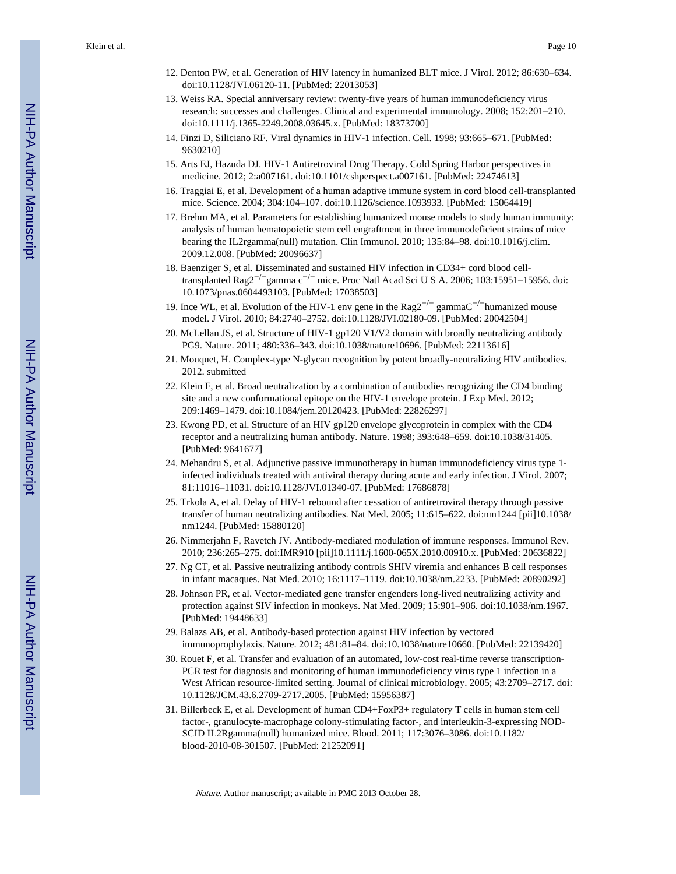- 12. Denton PW, et al. Generation of HIV latency in humanized BLT mice. J Virol. 2012; 86:630–634. doi:10.1128/JVI.06120-11. [PubMed: 22013053]
- 13. Weiss RA. Special anniversary review: twenty-five years of human immunodeficiency virus research: successes and challenges. Clinical and experimental immunology. 2008; 152:201–210. doi:10.1111/j.1365-2249.2008.03645.x. [PubMed: 18373700]
- 14. Finzi D, Siliciano RF. Viral dynamics in HIV-1 infection. Cell. 1998; 93:665–671. [PubMed: 9630210]
- 15. Arts EJ, Hazuda DJ. HIV-1 Antiretroviral Drug Therapy. Cold Spring Harbor perspectives in medicine. 2012; 2:a007161. doi:10.1101/cshperspect.a007161. [PubMed: 22474613]
- 16. Traggiai E, et al. Development of a human adaptive immune system in cord blood cell-transplanted mice. Science. 2004; 304:104–107. doi:10.1126/science.1093933. [PubMed: 15064419]
- 17. Brehm MA, et al. Parameters for establishing humanized mouse models to study human immunity: analysis of human hematopoietic stem cell engraftment in three immunodeficient strains of mice bearing the IL2rgamma(null) mutation. Clin Immunol. 2010; 135:84–98. doi:10.1016/j.clim. 2009.12.008. [PubMed: 20096637]
- 18. Baenziger S, et al. Disseminated and sustained HIV infection in CD34+ cord blood celltransplanted Rag2−/−gamma c−/− mice. Proc Natl Acad Sci U S A. 2006; 103:15951–15956. doi: 10.1073/pnas.0604493103. [PubMed: 17038503]
- 19. Ince WL, et al. Evolution of the HIV-1 env gene in the Rag2−/− gammaC−/−humanized mouse model. J Virol. 2010; 84:2740–2752. doi:10.1128/JVI.02180-09. [PubMed: 20042504]
- 20. McLellan JS, et al. Structure of HIV-1 gp120 V1/V2 domain with broadly neutralizing antibody PG9. Nature. 2011; 480:336–343. doi:10.1038/nature10696. [PubMed: 22113616]
- 21. Mouquet, H. Complex-type N-glycan recognition by potent broadly-neutralizing HIV antibodies. 2012. submitted
- 22. Klein F, et al. Broad neutralization by a combination of antibodies recognizing the CD4 binding site and a new conformational epitope on the HIV-1 envelope protein. J Exp Med. 2012; 209:1469–1479. doi:10.1084/jem.20120423. [PubMed: 22826297]
- 23. Kwong PD, et al. Structure of an HIV gp120 envelope glycoprotein in complex with the CD4 receptor and a neutralizing human antibody. Nature. 1998; 393:648–659. doi:10.1038/31405. [PubMed: 9641677]
- 24. Mehandru S, et al. Adjunctive passive immunotherapy in human immunodeficiency virus type 1 infected individuals treated with antiviral therapy during acute and early infection. J Virol. 2007; 81:11016–11031. doi:10.1128/JVI.01340-07. [PubMed: 17686878]
- 25. Trkola A, et al. Delay of HIV-1 rebound after cessation of antiretroviral therapy through passive transfer of human neutralizing antibodies. Nat Med. 2005; 11:615–622. doi:nm1244 [pii]10.1038/ nm1244. [PubMed: 15880120]
- 26. Nimmerjahn F, Ravetch JV. Antibody-mediated modulation of immune responses. Immunol Rev. 2010; 236:265–275. doi:IMR910 [pii]10.1111/j.1600-065X.2010.00910.x. [PubMed: 20636822]
- 27. Ng CT, et al. Passive neutralizing antibody controls SHIV viremia and enhances B cell responses in infant macaques. Nat Med. 2010; 16:1117–1119. doi:10.1038/nm.2233. [PubMed: 20890292]
- 28. Johnson PR, et al. Vector-mediated gene transfer engenders long-lived neutralizing activity and protection against SIV infection in monkeys. Nat Med. 2009; 15:901–906. doi:10.1038/nm.1967. [PubMed: 19448633]
- 29. Balazs AB, et al. Antibody-based protection against HIV infection by vectored immunoprophylaxis. Nature. 2012; 481:81–84. doi:10.1038/nature10660. [PubMed: 22139420]
- 30. Rouet F, et al. Transfer and evaluation of an automated, low-cost real-time reverse transcription-PCR test for diagnosis and monitoring of human immunodeficiency virus type 1 infection in a West African resource-limited setting. Journal of clinical microbiology. 2005; 43:2709–2717. doi: 10.1128/JCM.43.6.2709-2717.2005. [PubMed: 15956387]
- 31. Billerbeck E, et al. Development of human CD4+FoxP3+ regulatory T cells in human stem cell factor-, granulocyte-macrophage colony-stimulating factor-, and interleukin-3-expressing NOD-SCID IL2Rgamma(null) humanized mice. Blood. 2011; 117:3076–3086. doi:10.1182/ blood-2010-08-301507. [PubMed: 21252091]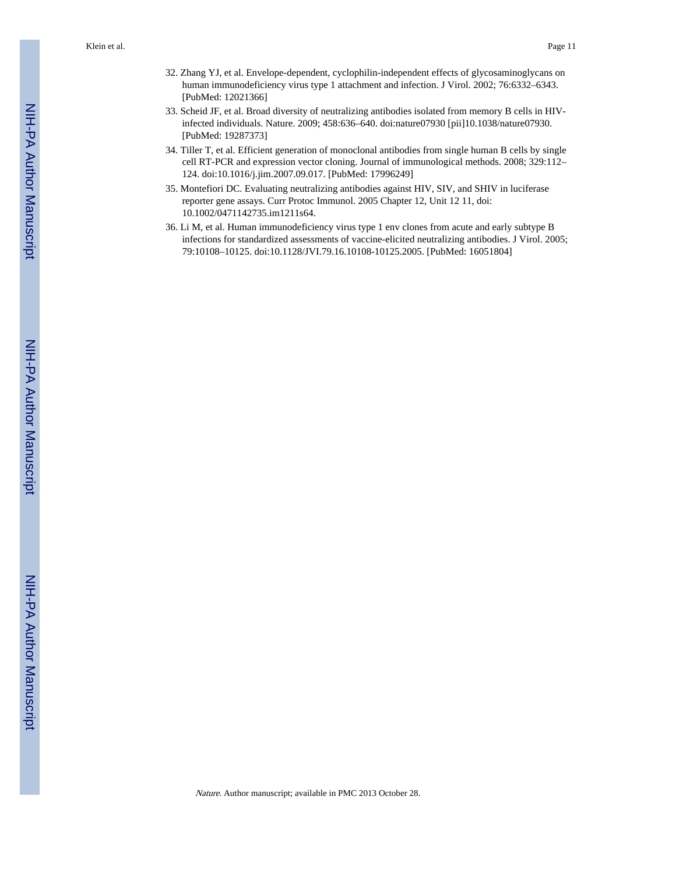- 32. Zhang YJ, et al. Envelope-dependent, cyclophilin-independent effects of glycosaminoglycans on human immunodeficiency virus type 1 attachment and infection. J Virol. 2002; 76:6332–6343. [PubMed: 12021366]
- 33. Scheid JF, et al. Broad diversity of neutralizing antibodies isolated from memory B cells in HIVinfected individuals. Nature. 2009; 458:636–640. doi:nature07930 [pii]10.1038/nature07930. [PubMed: 19287373]
- 34. Tiller T, et al. Efficient generation of monoclonal antibodies from single human B cells by single cell RT-PCR and expression vector cloning. Journal of immunological methods. 2008; 329:112– 124. doi:10.1016/j.jim.2007.09.017. [PubMed: 17996249]
- 35. Montefiori DC. Evaluating neutralizing antibodies against HIV, SIV, and SHIV in luciferase reporter gene assays. Curr Protoc Immunol. 2005 Chapter 12, Unit 12 11, doi: 10.1002/0471142735.im1211s64.
- 36. Li M, et al. Human immunodeficiency virus type 1 env clones from acute and early subtype B infections for standardized assessments of vaccine-elicited neutralizing antibodies. J Virol. 2005; 79:10108–10125. doi:10.1128/JVI.79.16.10108-10125.2005. [PubMed: 16051804]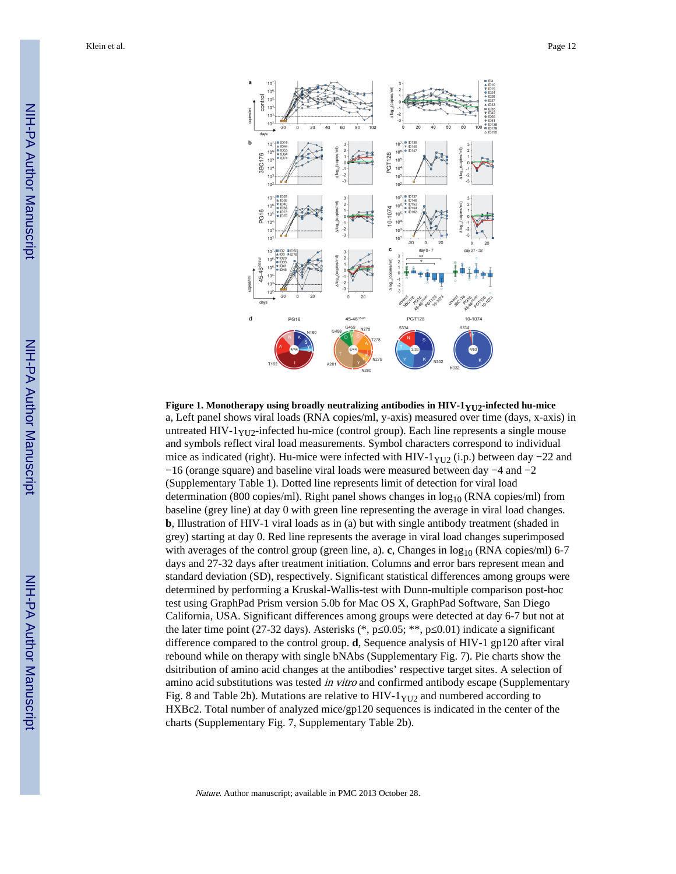Klein et al. Page 12



**Figure 1. Monotherapy using broadly neutralizing antibodies in HIV-1YU2-infected hu-mice** a, Left panel shows viral loads (RNA copies/ml, y-axis) measured over time (days, x-axis) in untreated  $HIV-1<sub>YU2</sub>$ -infected hu-mice (control group). Each line represents a single mouse and symbols reflect viral load measurements. Symbol characters correspond to individual mice as indicated (right). Hu-mice were infected with HIV-1 $_{\text{YU2}}$  (i.p.) between day −22 and −16 (orange square) and baseline viral loads were measured between day −4 and −2 (Supplementary Table 1). Dotted line represents limit of detection for viral load determination (800 copies/ml). Right panel shows changes in  $log_{10}$  (RNA copies/ml) from baseline (grey line) at day 0 with green line representing the average in viral load changes. **b**, Illustration of HIV-1 viral loads as in (a) but with single antibody treatment (shaded in grey) starting at day 0. Red line represents the average in viral load changes superimposed with averages of the control group (green line, a). **c**, Changes in  $\log_{10}$  (RNA copies/ml) 6-7 days and 27-32 days after treatment initiation. Columns and error bars represent mean and standard deviation (SD), respectively. Significant statistical differences among groups were determined by performing a Kruskal-Wallis-test with Dunn-multiple comparison post-hoc test using GraphPad Prism version 5.0b for Mac OS X, GraphPad Software, San Diego California, USA. Significant differences among groups were detected at day 6-7 but not at the later time point (27-32 days). Asterisks (\*, p  $0.05$ ; \*\*, p  $0.01$ ) indicate a significant difference compared to the control group. **d**, Sequence analysis of HIV-1 gp120 after viral rebound while on therapy with single bNAbs (Supplementary Fig. 7). Pie charts show the dsitribution of amino acid changes at the antibodies' respective target sites. A selection of amino acid substitutions was tested *in vitro* and confirmed antibody escape (Supplementary Fig. 8 and Table 2b). Mutations are relative to  $HIV-1<sub>YU2</sub>$  and numbered according to HXBc2. Total number of analyzed mice/gp120 sequences is indicated in the center of the charts (Supplementary Fig. 7, Supplementary Table 2b).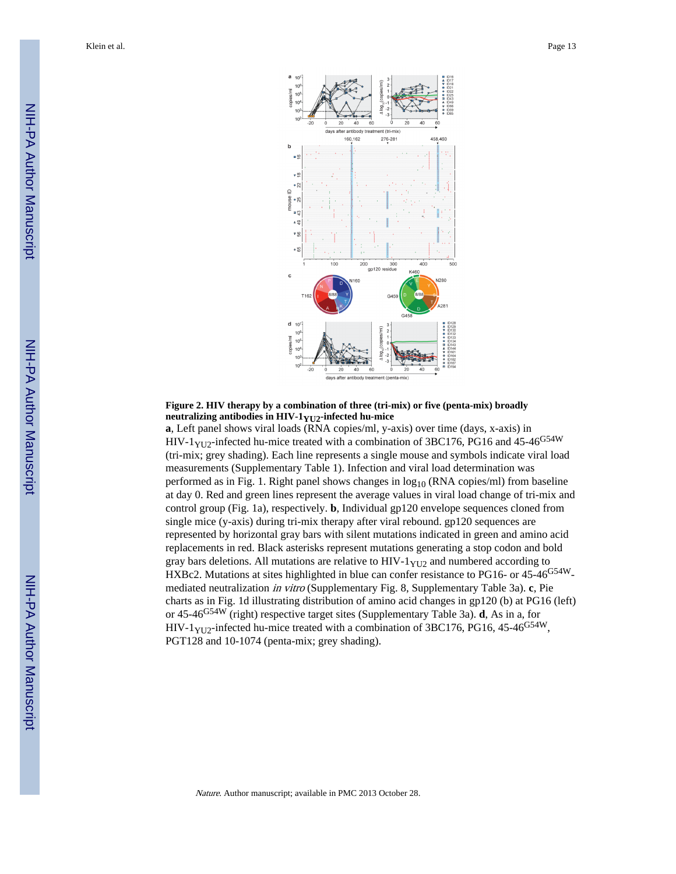

#### **Figure 2. HIV therapy by a combination of three (tri-mix) or five (penta-mix) broadly neutralizing antibodies in HIV-1YU2-infected hu-mice**

**a**, Left panel shows viral loads (RNA copies/ml, y-axis) over time (days, x-axis) in HIV-1<sub>YU2</sub>-infected hu-mice treated with a combination of 3BC176, PG16 and 45-46<sup>G54W</sup> (tri-mix; grey shading). Each line represents a single mouse and symbols indicate viral load measurements (Supplementary Table 1). Infection and viral load determination was performed as in Fig. 1. Right panel shows changes in  $log_{10}$  (RNA copies/ml) from baseline at day 0. Red and green lines represent the average values in viral load change of tri-mix and control group (Fig. 1a), respectively. **b**, Individual gp120 envelope sequences cloned from single mice (y-axis) during tri-mix therapy after viral rebound. gp120 sequences are represented by horizontal gray bars with silent mutations indicated in green and amino acid replacements in red. Black asterisks represent mutations generating a stop codon and bold gray bars deletions. All mutations are relative to HIV- $1_{YU2}$  and numbered according to HXBc2. Mutations at sites highlighted in blue can confer resistance to PG16- or 45-46<sup>G54W</sup>mediated neutralization in vitro (Supplementary Fig. 8, Supplementary Table 3a). **c**, Pie charts as in Fig. 1d illustrating distribution of amino acid changes in gp120 (b) at PG16 (left) or 45-46G54W (right) respective target sites (Supplementary Table 3a). **d**, As in a, for HIV-1<sub>YU2</sub>-infected hu-mice treated with a combination of 3BC176, PG16, 45-46<sup>G54W</sup>, PGT128 and 10-1074 (penta-mix; grey shading).